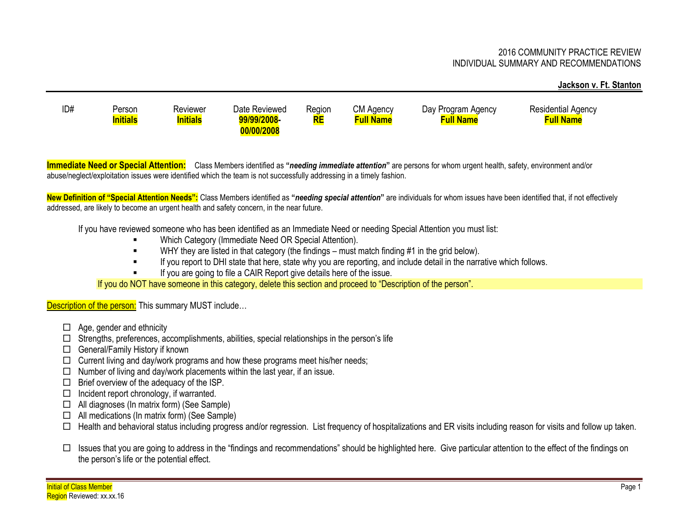## 2016 COMMUNITY PRACTICE REVIEW INDIVIDUAL SUMMARY AND RECOMMENDATIONS

## **Jackson v. Ft. Stanton**

ID# Person Reviewer Date Reviewed Region CM Agency Day Program Agency Residential Agency **Initials Initials 99/99/2008- 00/00/2008 RE Full Name Full Name Full Name**

**Immediate Need or Special Attention:** Class Members identified as **"***needing immediate attention***"** are persons for whom urgent health, safety, environment and/or abuse/neglect/exploitation issues were identified which the team is not successfully addressing in a timely fashion.

**New Definition of "Special Attention Needs":** Class Members identified as **"***needing special attention***"** are individuals for whom issues have been identified that, if not effectively addressed, are likely to become an urgent health and safety concern, in the near future.

If you have reviewed someone who has been identified as an Immediate Need or needing Special Attention you must list:

- Which Category (Immediate Need OR Special Attention).
- WHY they are listed in that category (the findings must match finding #1 in the grid below).
- If you report to DHI state that here, state why you are reporting, and include detail in the narrative which follows.
- If you are going to file a CAIR Report give details here of the issue.

If you do NOT have someone in this category, delete this section and proceed to "Description of the person".

Description of the person: This summary MUST include...

- $\Box$  Age, gender and ethnicity
- $\Box$  Strengths, preferences, accomplishments, abilities, special relationships in the person's life
- □ General/Family History if known
- $\Box$  Current living and day/work programs and how these programs meet his/her needs;
- $\Box$  Number of living and day/work placements within the last year, if an issue.
- $\Box$  Brief overview of the adequacy of the ISP.
- $\Box$  Incident report chronology, if warranted.
- $\Box$  All diagnoses (In matrix form) (See Sample)
- $\Box$  All medications (In matrix form) (See Sample)
- $\Box$  Health and behavioral status including progress and/or regression. List frequency of hospitalizations and ER visits including reason for visits and follow up taken.
- $\Box$  Issues that you are going to address in the "findings and recommendations" should be highlighted here. Give particular attention to the effect of the findings on the person's life or the potential effect.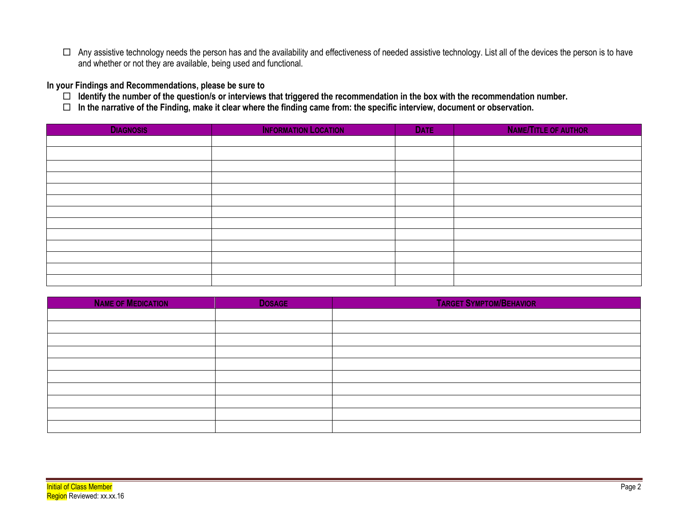$\Box$  Any assistive technology needs the person has and the availability and effectiveness of needed assistive technology. List all of the devices the person is to have and whether or not they are available, being used and functional.

**In your Findings and Recommendations, please be sure to** 

- **Identify the number of the question/s or interviews that triggered the recommendation in the box with the recommendation number.**
- **In the narrative of the Finding, make it clear where the finding came from: the specific interview, document or observation.**

| <b>DIAGNOSIS</b> | <b>INFORMATION LOCATION</b> | <b>DATE</b> | <b>NAME/TITLE OF AUTHOR</b> |
|------------------|-----------------------------|-------------|-----------------------------|
|                  |                             |             |                             |
|                  |                             |             |                             |
|                  |                             |             |                             |
|                  |                             |             |                             |
|                  |                             |             |                             |
|                  |                             |             |                             |
|                  |                             |             |                             |
|                  |                             |             |                             |
|                  |                             |             |                             |
|                  |                             |             |                             |
|                  |                             |             |                             |
|                  |                             |             |                             |
|                  |                             |             |                             |

| <b>NAME OF MEDICATION</b> | <b>DOSAGE</b> | <b>TARGET SYMPTOM/BEHAVIOR</b> |
|---------------------------|---------------|--------------------------------|
|                           |               |                                |
|                           |               |                                |
|                           |               |                                |
|                           |               |                                |
|                           |               |                                |
|                           |               |                                |
|                           |               |                                |
|                           |               |                                |
|                           |               |                                |
|                           |               |                                |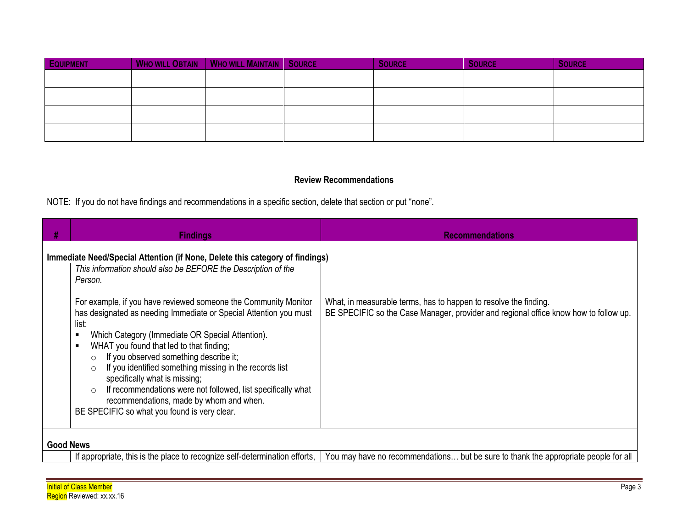| <b>EQUIPMENT</b> | <b>WHO WILL OBTAIN   WHO WILL MAINTAIN   SOURCE</b> | <b>SOURCE</b> | <b>SOURCE</b> | <b>SOURCE</b> |
|------------------|-----------------------------------------------------|---------------|---------------|---------------|
|                  |                                                     |               |               |               |
|                  |                                                     |               |               |               |
|                  |                                                     |               |               |               |
|                  |                                                     |               |               |               |

## **Review Recommendations**

NOTE: If you do not have findings and recommendations in a specific section, delete that section or put "none".

| Н | <b>Findings</b>                                                                                                                                                                                                                                                                                                                                                                                                                                                                                                                                                                                                                                              | <b>Recommendations</b>                                                                                                                                   |  |  |  |
|---|--------------------------------------------------------------------------------------------------------------------------------------------------------------------------------------------------------------------------------------------------------------------------------------------------------------------------------------------------------------------------------------------------------------------------------------------------------------------------------------------------------------------------------------------------------------------------------------------------------------------------------------------------------------|----------------------------------------------------------------------------------------------------------------------------------------------------------|--|--|--|
|   | Immediate Need/Special Attention (if None, Delete this category of findings)                                                                                                                                                                                                                                                                                                                                                                                                                                                                                                                                                                                 |                                                                                                                                                          |  |  |  |
|   | This information should also be BEFORE the Description of the<br>Person.<br>For example, if you have reviewed someone the Community Monitor<br>has designated as needing Immediate or Special Attention you must<br>list:<br>Which Category (Immediate OR Special Attention).<br>п<br>WHAT you found that led to that finding;<br>$\blacksquare$<br>If you observed something describe it;<br>$\circ$<br>If you identified something missing in the records list<br>specifically what is missing;<br>If recommendations were not followed, list specifically what<br>recommendations, made by whom and when.<br>BE SPECIFIC so what you found is very clear. | What, in measurable terms, has to happen to resolve the finding.<br>BE SPECIFIC so the Case Manager, provider and regional office know how to follow up. |  |  |  |
|   |                                                                                                                                                                                                                                                                                                                                                                                                                                                                                                                                                                                                                                                              |                                                                                                                                                          |  |  |  |
|   | <b>Good News</b>                                                                                                                                                                                                                                                                                                                                                                                                                                                                                                                                                                                                                                             |                                                                                                                                                          |  |  |  |
|   | If appropriate, this is the place to recognize self-determination efforts,                                                                                                                                                                                                                                                                                                                                                                                                                                                                                                                                                                                   | You may have no recommendations but be sure to thank the appropriate people for all                                                                      |  |  |  |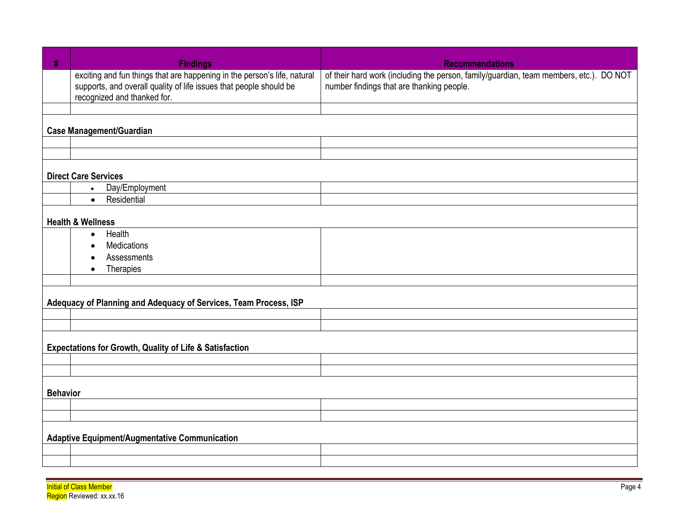| #               | <b>Findings</b>                                                                                                                                                               | <b>Recommendations</b>                                                                                                              |  |  |
|-----------------|-------------------------------------------------------------------------------------------------------------------------------------------------------------------------------|-------------------------------------------------------------------------------------------------------------------------------------|--|--|
|                 | exciting and fun things that are happening in the person's life, natural<br>supports, and overall quality of life issues that people should be<br>recognized and thanked for. | of their hard work (including the person, family/guardian, team members, etc.). DO NOT<br>number findings that are thanking people. |  |  |
|                 |                                                                                                                                                                               |                                                                                                                                     |  |  |
|                 | <b>Case Management/Guardian</b>                                                                                                                                               |                                                                                                                                     |  |  |
|                 |                                                                                                                                                                               |                                                                                                                                     |  |  |
|                 |                                                                                                                                                                               |                                                                                                                                     |  |  |
|                 | <b>Direct Care Services</b>                                                                                                                                                   |                                                                                                                                     |  |  |
|                 | Day/Employment<br>$\bullet$                                                                                                                                                   |                                                                                                                                     |  |  |
|                 | Residential<br>$\bullet$                                                                                                                                                      |                                                                                                                                     |  |  |
|                 | <b>Health &amp; Wellness</b>                                                                                                                                                  |                                                                                                                                     |  |  |
|                 | Health<br>$\bullet$                                                                                                                                                           |                                                                                                                                     |  |  |
|                 | <b>Medications</b>                                                                                                                                                            |                                                                                                                                     |  |  |
|                 | Assessments                                                                                                                                                                   |                                                                                                                                     |  |  |
|                 | Therapies<br>$\bullet$                                                                                                                                                        |                                                                                                                                     |  |  |
|                 |                                                                                                                                                                               |                                                                                                                                     |  |  |
|                 | Adequacy of Planning and Adequacy of Services, Team Process, ISP                                                                                                              |                                                                                                                                     |  |  |
|                 |                                                                                                                                                                               |                                                                                                                                     |  |  |
|                 |                                                                                                                                                                               |                                                                                                                                     |  |  |
|                 | <b>Expectations for Growth, Quality of Life &amp; Satisfaction</b>                                                                                                            |                                                                                                                                     |  |  |
|                 |                                                                                                                                                                               |                                                                                                                                     |  |  |
|                 |                                                                                                                                                                               |                                                                                                                                     |  |  |
| <b>Behavior</b> |                                                                                                                                                                               |                                                                                                                                     |  |  |
|                 |                                                                                                                                                                               |                                                                                                                                     |  |  |
|                 |                                                                                                                                                                               |                                                                                                                                     |  |  |
|                 | <b>Adaptive Equipment/Augmentative Communication</b>                                                                                                                          |                                                                                                                                     |  |  |
|                 |                                                                                                                                                                               |                                                                                                                                     |  |  |
|                 |                                                                                                                                                                               |                                                                                                                                     |  |  |